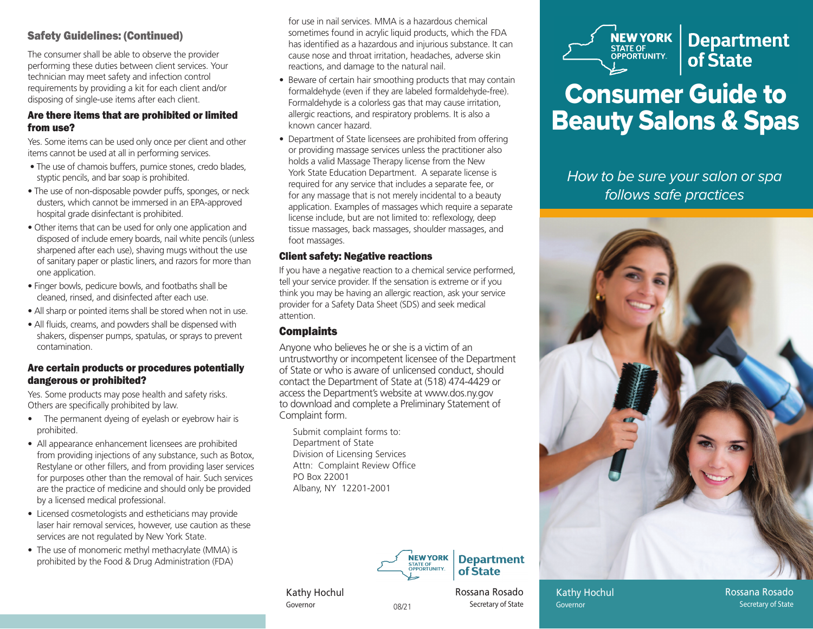## Safety Guidelines: (Continued)

The consumer shall be able to observe the provider performing these duties between client services. Your technician may meet safety and infection control requirements by providing a kit for each client and/or disposing of single-use items after each client.

#### Are there items that are prohibited or limited from use?

Yes. Some items can be used only once per client and other items cannot be used at all in performing services.

- The use of chamois buffers, pumice stones, credo blades, styptic pencils, and bar soap is prohibited.
- The use of non-disposable powder puffs, sponges, or neck dusters, which cannot be immersed in an EPA-approved hospital grade disinfectant is prohibited.
- Other items that can be used for only one application and disposed of include emery boards, nail white pencils (unless sharpened after each use), shaving mugs without the use of sanitary paper or plastic liners, and razors for more than one application.
- Finger bowls, pedicure bowls, and footbaths shall be cleaned, rinsed, and disinfected after each use.
- All sharp or pointed items shall be stored when not in use.
- All fluids, creams, and powders shall be dispensed with shakers, dispenser pumps, spatulas, or sprays to prevent contamination.

#### Are certain products or procedures potentially dangerous or prohibited?

Yes. Some products may pose health and safety risks. Others are specifically prohibited by law.

- The permanent dyeing of eyelash or eyebrow hair is prohibited.
- All appearance enhancement licensees are prohibited from providing injections of any substance, such as Botox, Restylane or other fillers, and from providing laser services for purposes other than the removal of hair. Such services are the practice of medicine and should only be provided by a licensed medical professional.
- Licensed cosmetologists and estheticians may provide laser hair removal services, however, use caution as these services are not regulated by New York State.
- The use of monomeric methyl methacrylate (MMA) is prohibited by the Food & Drug Administration (FDA)

for use in nail services. MMA is a hazardous chemical sometimes found in acrylic liquid products, which the FDA has identified as a hazardous and injurious substance. It can cause nose and throat irritation, headaches, adverse skin reactions, and damage to the natural nail.

- Beware of certain hair smoothing products that may contain formaldehyde (even if they are labeled formaldehyde-free). Formaldehyde is a colorless gas that may cause irritation, allergic reactions, and respiratory problems. It is also a known cancer hazard.
- Department of State licensees are prohibited from offering or providing massage services unless the practitioner also holds a valid Massage Therapy license from the New York State Education Department. A separate license is required for any service that includes a separate fee, or for any massage that is not merely incidental to a beauty application. Examples of massages which require a separate license include, but are not limited to: reflexology, deep tissue massages, back massages, shoulder massages, and foot massages.

#### Client safety: Negative reactions

If you have a negative reaction to a chemical service performed, tell your service provider. If the sensation is extreme or if you think you may be having an allergic reaction, ask your service provider for a Safety Data Sheet (SDS) and seek medical attention.

## **Complaints**

Anyone who believes he or she is a victim of an untrustworthy or incompetent licensee of the Department of State or who is aware of unlicensed conduct, should contact the Department of State at (518) 474-4429 or access the Department's website at www.dos.ny.gov to download and complete a Preliminary Statement of Complaint form.

08/21

Submit complaint forms to: Department of State Division of Licensing Services Attn: Complaint Review Office PO Box 22001Albany, NY 12201-2001



**NEW YORK**<br>STATE OF OPPORTUNITY. **Department** of State

# Consumer Guide to Beauty Salons & Spas

How to be sure your salon or spa follows safe practices



Kathy Hochul Governor

1 Secretary of State Governor Rossana Rosado

Kathy Hochul

Rossana RosadoSecretary of State